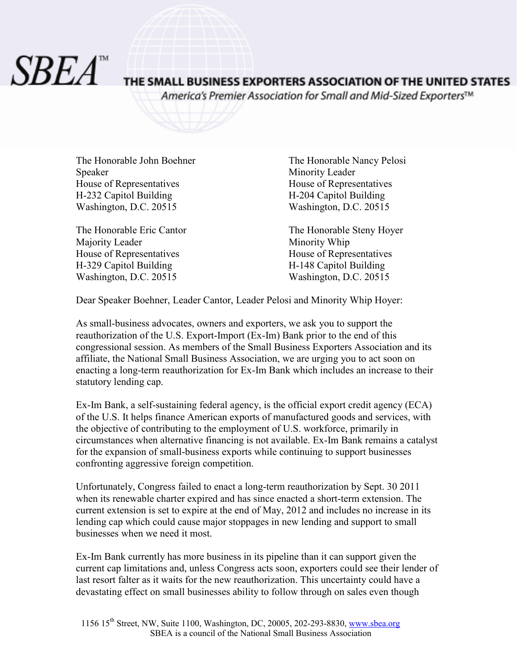*SBEA*"

## THE SMALL BUSINESS EXPORTERS ASSOCIATION OF THE UNITED STATES

America's Premier Association for Small and Mid-Sized Exporters™

The Honorable John Boehner The Honorable Nancy Pelosi Speaker Minority Leader House of Representatives House of Representatives H-232 Capitol Building H-204 Capitol Building Washington, D.C. 20515 Washington, D.C. 20515

Majority Leader Minority Whip House of Representatives<br>
H-329 Capitol Building<br>
H-148 Capitol Building<br>
H-148 Capitol Building Washington, D.C. 20515 Washington, D.C. 20515

The Honorable Eric Cantor The Honorable Steny Hoyer H-329 Capitol Building H-148 Capitol Building

Dear Speaker Boehner, Leader Cantor, Leader Pelosi and Minority Whip Hoyer:

As small-business advocates, owners and exporters, we ask you to support the reauthorization of the U.S. Export-Import (Ex-Im) Bank prior to the end of this congressional session. As members of the Small Business Exporters Association and its affiliate, the National Small Business Association, we are urging you to act soon on enacting a long-term reauthorization for Ex-Im Bank which includes an increase to their statutory lending cap.

Ex-Im Bank, a self-sustaining federal agency, is the official export credit agency (ECA) of the U.S. It helps finance American exports of manufactured goods and services, with the objective of contributing to the employment of U.S. workforce, primarily in circumstances when alternative financing is not available. Ex-Im Bank remains a catalyst for the expansion of small-business exports while continuing to support businesses confronting aggressive foreign competition.

Unfortunately, Congress failed to enact a long-term reauthorization by Sept. 30 2011 when its renewable charter expired and has since enacted a short-term extension. The current extension is set to expire at the end of May, 2012 and includes no increase in its lending cap which could cause major stoppages in new lending and support to small businesses when we need it most.

Ex-Im Bank currently has more business in its pipeline than it can support given the current cap limitations and, unless Congress acts soon, exporters could see their lender of last resort falter as it waits for the new reauthorization. This uncertainty could have a devastating effect on small businesses ability to follow through on sales even though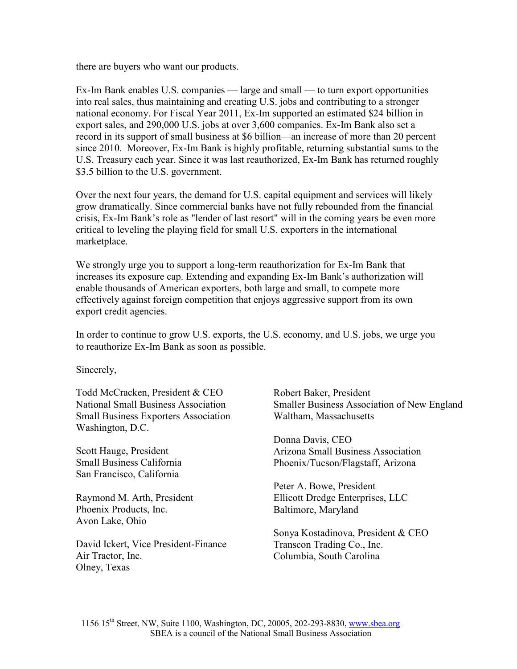there are buyers who want our products.

Ex-Im Bank enables U.S. companies — large and small — to turn export opportunities into real sales, thus maintaining and creating U.S. jobs and contributing to a stronger national economy. For Fiscal Year 2011, Ex-Im supported an estimated \$24 billion in export sales, and 290,000 U.S. jobs at over 3,600 companies. Ex-Im Bank also set a record in its support of small business at \$6 billion—an increase of more than 20 percent since 2010. Moreover, Ex-Im Bank is highly profitable, returning substantial sums to the U.S. Treasury each year. Since it was last reauthorized, Ex-Im Bank has returned roughly \$3.5 billion to the U.S. government.

Over the next four years, the demand for U.S. capital equipment and services will likely grow dramatically. Since commercial banks have not fully rebounded from the financial crisis, Ex-Im Bank's role as "lender of last resort" will in the coming years be even more critical to leveling the playing field for small U.S. exporters in the international marketplace.

We strongly urge you to support a long-term reauthorization for Ex-Im Bank that increases its exposure cap. Extending and expanding Ex-Im Bank's authorization will enable thousands of American exporters, both large and small, to compete more effectively against foreign competition that enjoys aggressive support from its own export credit agencies.

In order to continue to grow U.S. exports, the U.S. economy, and U.S. jobs, we urge you to reauthorize Ex-Im Bank as soon as possible.

Sincerely,

Todd McCracken, President & CEO National Small Business Association Small Business Exporters Association Washington, D.C.

Scott Hauge, President Small Business California San Francisco, California

Raymond M. Arth, President Phoenix Products, Inc. Avon Lake, Ohio

David Ickert, Vice President-Finance Air Tractor, Inc. Olney, Texas

Robert Baker, President Smaller Business Association of New England Waltham, Massachusetts

Donna Davis, CEO Arizona Small Business Association Phoenix/Tucson/Flagstaff, Arizona

Peter A. Bowe, President Ellicott Dredge Enterprises, LLC Baltimore, Maryland

Sonya Kostadinova, President & CEO Transcon Trading Co., Inc. Columbia, South Carolina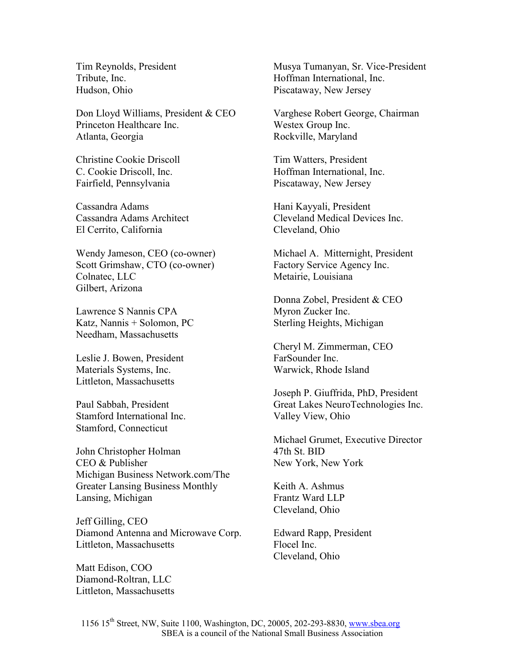Tim Reynolds, President Tribute, Inc. Hudson, Ohio

Don Lloyd Williams, President & CEO Princeton Healthcare Inc. Atlanta, Georgia

Christine Cookie Driscoll C. Cookie Driscoll, Inc. Fairfield, Pennsylvania

Cassandra Adams Cassandra Adams Architect El Cerrito, California

Wendy Jameson, CEO (co-owner) Scott Grimshaw, CTO (co-owner) Colnatec, LLC Gilbert, Arizona

Lawrence S Nannis CPA Katz, Nannis + Solomon, PC Needham, Massachusetts

Leslie J. Bowen, President Materials Systems, Inc. Littleton, Massachusetts

Paul Sabbah, President Stamford International Inc. Stamford, Connecticut

John Christopher Holman CEO & Publisher Michigan Business Network.com/The Greater Lansing Business Monthly Lansing, Michigan

Jeff Gilling, CEO Diamond Antenna and Microwave Corp. Littleton, Massachusetts

Matt Edison, COO Diamond-Roltran, LLC Littleton, Massachusetts Musya Tumanyan, Sr. Vice-President Hoffman International, Inc. Piscataway, New Jersey

Varghese Robert George, Chairman Westex Group Inc. Rockville, Maryland

Tim Watters, President Hoffman International, Inc. Piscataway, New Jersey

Hani Kayyali, President Cleveland Medical Devices Inc. Cleveland, Ohio

Michael A. Mitternight, President Factory Service Agency Inc. Metairie, Louisiana

Donna Zobel, President & CEO Myron Zucker Inc. Sterling Heights, Michigan

Cheryl M. Zimmerman, CEO FarSounder Inc. Warwick, Rhode Island

Joseph P. Giuffrida, PhD, President Great Lakes NeuroTechnologies Inc. Valley View, Ohio

Michael Grumet, Executive Director 47th St. BID New York, New York

Keith A. Ashmus Frantz Ward LLP Cleveland, Ohio

Edward Rapp, President Flocel Inc. Cleveland, Ohio

1156 15th Street, NW, Suite 1100, Washington, DC, 20005, 202-293-8830, www.sbea.org SBEA is a council of the National Small Business Association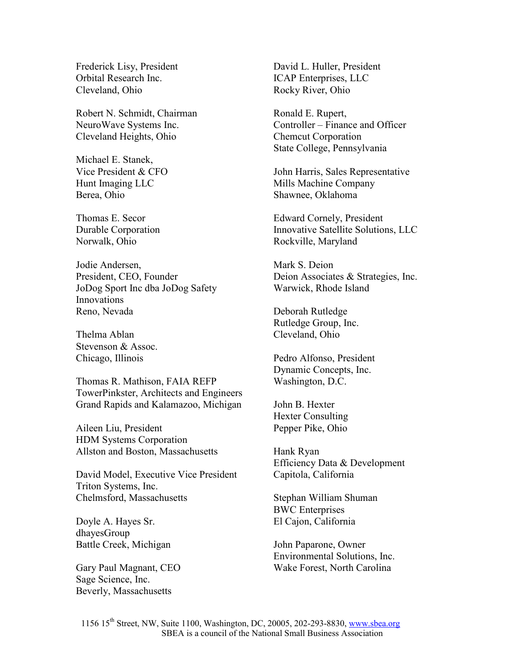Frederick Lisy, President Orbital Research Inc. Cleveland, Ohio

Robert N. Schmidt, Chairman NeuroWave Systems Inc. Cleveland Heights, Ohio

Michael E. Stanek, Vice President & CFO Hunt Imaging LLC Berea, Ohio

Thomas E. Secor Durable Corporation Norwalk, Ohio

Jodie Andersen, President, CEO, Founder JoDog Sport Inc dba JoDog Safety Innovations Reno, Nevada

Thelma Ablan Stevenson & Assoc. Chicago, Illinois

Thomas R. Mathison, FAIA REFP TowerPinkster, Architects and Engineers Grand Rapids and Kalamazoo, Michigan

Aileen Liu, President HDM Systems Corporation Allston and Boston, Massachusetts

David Model, Executive Vice President Triton Systems, Inc. Chelmsford, Massachusetts

Doyle A. Hayes Sr. dhayesGroup Battle Creek, Michigan

Gary Paul Magnant, CEO Sage Science, Inc. Beverly, Massachusetts

David L. Huller, President ICAP Enterprises, LLC Rocky River, Ohio

Ronald E. Rupert, Controller – Finance and Officer Chemcut Corporation State College, Pennsylvania

John Harris, Sales Representative Mills Machine Company Shawnee, Oklahoma

Edward Cornely, President Innovative Satellite Solutions, LLC Rockville, Maryland

Mark S. Deion Deion Associates & Strategies, Inc. Warwick, Rhode Island

Deborah Rutledge Rutledge Group, Inc. Cleveland, Ohio

Pedro Alfonso, President Dynamic Concepts, Inc. Washington, D.C.

John B. Hexter Hexter Consulting Pepper Pike, Ohio

Hank Ryan Efficiency Data & Development Capitola, California

Stephan William Shuman BWC Enterprises El Cajon, California

John Paparone, Owner Environmental Solutions, Inc. Wake Forest, North Carolina